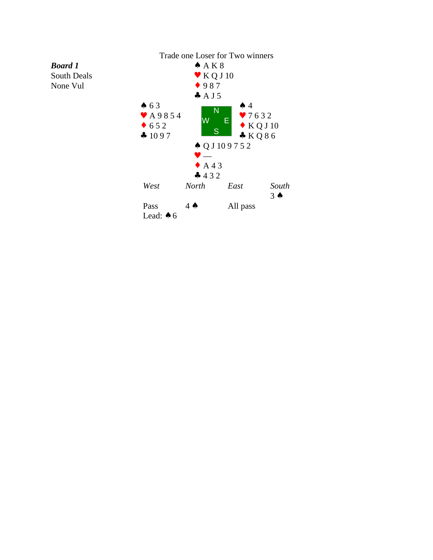

*Board 1* South Deals None Vul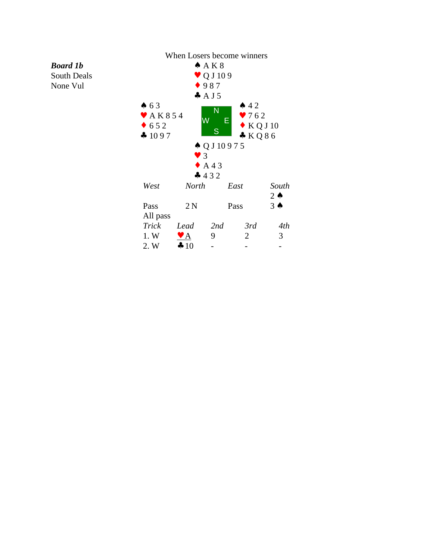## *Board 1b* South Deals

None Vul

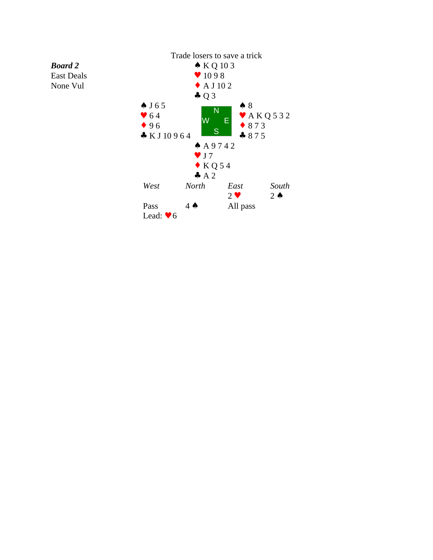